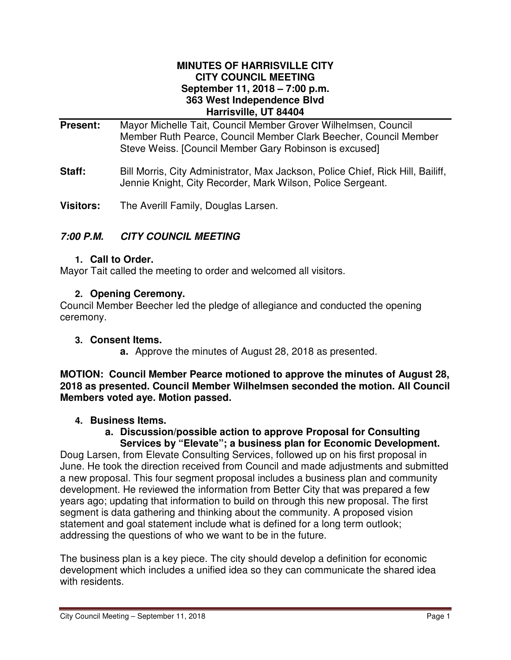### **MINUTES OF HARRISVILLE CITY CITY COUNCIL MEETING September 11, 2018 – 7:00 p.m. 363 West Independence Blvd Harrisville, UT 84404**

- **Present:** Mayor Michelle Tait, Council Member Grover Wilhelmsen, Council Member Ruth Pearce, Council Member Clark Beecher, Council Member Steve Weiss. [Council Member Gary Robinson is excused]
- **Staff:** Bill Morris, City Administrator, Max Jackson, Police Chief, Rick Hill, Bailiff, Jennie Knight, City Recorder, Mark Wilson, Police Sergeant.
- **Visitors:** The Averill Family, Douglas Larsen.

# **7:00 P.M. CITY COUNCIL MEETING**

### **1. Call to Order.**

Mayor Tait called the meeting to order and welcomed all visitors.

# **2. Opening Ceremony.**

Council Member Beecher led the pledge of allegiance and conducted the opening ceremony.

# **3. Consent Items.**

**a.** Approve the minutes of August 28, 2018 as presented.

**MOTION: Council Member Pearce motioned to approve the minutes of August 28, 2018 as presented. Council Member Wilhelmsen seconded the motion. All Council Members voted aye. Motion passed.** 

# **4. Business Items.**

### **a. Discussion/possible action to approve Proposal for Consulting Services by "Elevate"; a business plan for Economic Development.**

Doug Larsen, from Elevate Consulting Services, followed up on his first proposal in June. He took the direction received from Council and made adjustments and submitted a new proposal. This four segment proposal includes a business plan and community development. He reviewed the information from Better City that was prepared a few years ago; updating that information to build on through this new proposal. The first segment is data gathering and thinking about the community. A proposed vision statement and goal statement include what is defined for a long term outlook; addressing the questions of who we want to be in the future.

The business plan is a key piece. The city should develop a definition for economic development which includes a unified idea so they can communicate the shared idea with residents.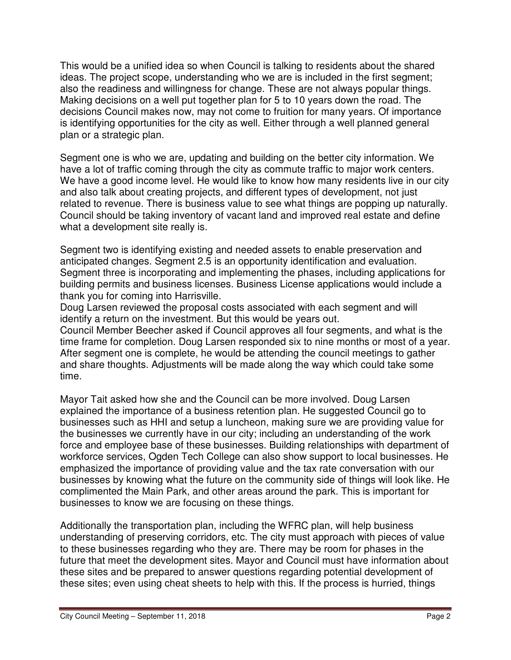This would be a unified idea so when Council is talking to residents about the shared ideas. The project scope, understanding who we are is included in the first segment; also the readiness and willingness for change. These are not always popular things. Making decisions on a well put together plan for 5 to 10 years down the road. The decisions Council makes now, may not come to fruition for many years. Of importance is identifying opportunities for the city as well. Either through a well planned general plan or a strategic plan.

Segment one is who we are, updating and building on the better city information. We have a lot of traffic coming through the city as commute traffic to major work centers. We have a good income level. He would like to know how many residents live in our city and also talk about creating projects, and different types of development, not just related to revenue. There is business value to see what things are popping up naturally. Council should be taking inventory of vacant land and improved real estate and define what a development site really is.

Segment two is identifying existing and needed assets to enable preservation and anticipated changes. Segment 2.5 is an opportunity identification and evaluation. Segment three is incorporating and implementing the phases, including applications for building permits and business licenses. Business License applications would include a thank you for coming into Harrisville.

Doug Larsen reviewed the proposal costs associated with each segment and will identify a return on the investment. But this would be years out.

Council Member Beecher asked if Council approves all four segments, and what is the time frame for completion. Doug Larsen responded six to nine months or most of a year. After segment one is complete, he would be attending the council meetings to gather and share thoughts. Adjustments will be made along the way which could take some time.

Mayor Tait asked how she and the Council can be more involved. Doug Larsen explained the importance of a business retention plan. He suggested Council go to businesses such as HHI and setup a luncheon, making sure we are providing value for the businesses we currently have in our city; including an understanding of the work force and employee base of these businesses. Building relationships with department of workforce services, Ogden Tech College can also show support to local businesses. He emphasized the importance of providing value and the tax rate conversation with our businesses by knowing what the future on the community side of things will look like. He complimented the Main Park, and other areas around the park. This is important for businesses to know we are focusing on these things.

Additionally the transportation plan, including the WFRC plan, will help business understanding of preserving corridors, etc. The city must approach with pieces of value to these businesses regarding who they are. There may be room for phases in the future that meet the development sites. Mayor and Council must have information about these sites and be prepared to answer questions regarding potential development of these sites; even using cheat sheets to help with this. If the process is hurried, things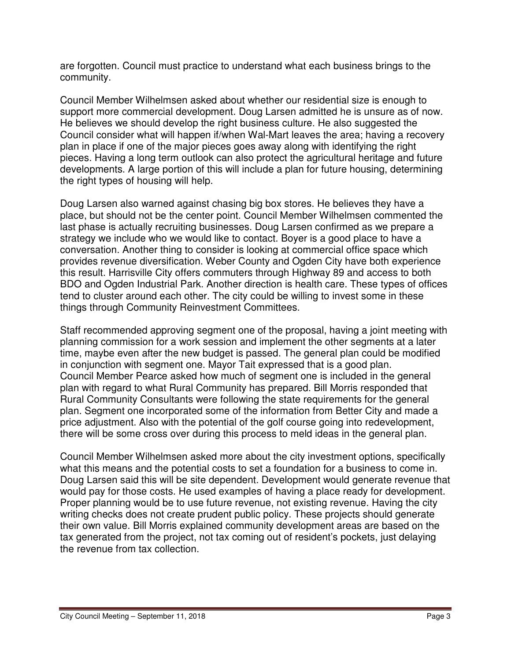are forgotten. Council must practice to understand what each business brings to the community.

Council Member Wilhelmsen asked about whether our residential size is enough to support more commercial development. Doug Larsen admitted he is unsure as of now. He believes we should develop the right business culture. He also suggested the Council consider what will happen if/when Wal-Mart leaves the area; having a recovery plan in place if one of the major pieces goes away along with identifying the right pieces. Having a long term outlook can also protect the agricultural heritage and future developments. A large portion of this will include a plan for future housing, determining the right types of housing will help.

Doug Larsen also warned against chasing big box stores. He believes they have a place, but should not be the center point. Council Member Wilhelmsen commented the last phase is actually recruiting businesses. Doug Larsen confirmed as we prepare a strategy we include who we would like to contact. Boyer is a good place to have a conversation. Another thing to consider is looking at commercial office space which provides revenue diversification. Weber County and Ogden City have both experience this result. Harrisville City offers commuters through Highway 89 and access to both BDO and Ogden Industrial Park. Another direction is health care. These types of offices tend to cluster around each other. The city could be willing to invest some in these things through Community Reinvestment Committees.

Staff recommended approving segment one of the proposal, having a joint meeting with planning commission for a work session and implement the other segments at a later time, maybe even after the new budget is passed. The general plan could be modified in conjunction with segment one. Mayor Tait expressed that is a good plan. Council Member Pearce asked how much of segment one is included in the general plan with regard to what Rural Community has prepared. Bill Morris responded that Rural Community Consultants were following the state requirements for the general plan. Segment one incorporated some of the information from Better City and made a price adjustment. Also with the potential of the golf course going into redevelopment, there will be some cross over during this process to meld ideas in the general plan.

Council Member Wilhelmsen asked more about the city investment options, specifically what this means and the potential costs to set a foundation for a business to come in. Doug Larsen said this will be site dependent. Development would generate revenue that would pay for those costs. He used examples of having a place ready for development. Proper planning would be to use future revenue, not existing revenue. Having the city writing checks does not create prudent public policy. These projects should generate their own value. Bill Morris explained community development areas are based on the tax generated from the project, not tax coming out of resident's pockets, just delaying the revenue from tax collection.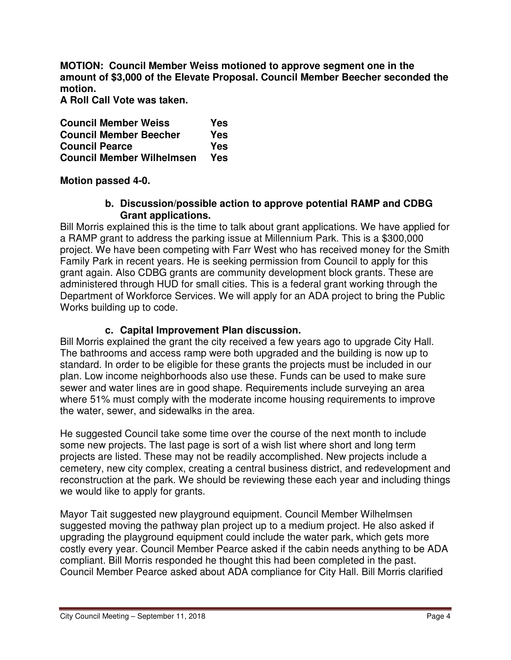**MOTION: Council Member Weiss motioned to approve segment one in the amount of \$3,000 of the Elevate Proposal. Council Member Beecher seconded the motion.** 

**A Roll Call Vote was taken.** 

**Council Member Weiss Yes Council Member Beecher Yes Council Pearce Yes Council Member Wilhelmsen Yes** 

**Motion passed 4-0.** 

# **b. Discussion/possible action to approve potential RAMP and CDBG Grant applications.**

Bill Morris explained this is the time to talk about grant applications. We have applied for a RAMP grant to address the parking issue at Millennium Park. This is a \$300,000 project. We have been competing with Farr West who has received money for the Smith Family Park in recent years. He is seeking permission from Council to apply for this grant again. Also CDBG grants are community development block grants. These are administered through HUD for small cities. This is a federal grant working through the Department of Workforce Services. We will apply for an ADA project to bring the Public Works building up to code.

# **c. Capital Improvement Plan discussion.**

Bill Morris explained the grant the city received a few years ago to upgrade City Hall. The bathrooms and access ramp were both upgraded and the building is now up to standard. In order to be eligible for these grants the projects must be included in our plan. Low income neighborhoods also use these. Funds can be used to make sure sewer and water lines are in good shape. Requirements include surveying an area where 51% must comply with the moderate income housing requirements to improve the water, sewer, and sidewalks in the area.

He suggested Council take some time over the course of the next month to include some new projects. The last page is sort of a wish list where short and long term projects are listed. These may not be readily accomplished. New projects include a cemetery, new city complex, creating a central business district, and redevelopment and reconstruction at the park. We should be reviewing these each year and including things we would like to apply for grants.

Mayor Tait suggested new playground equipment. Council Member Wilhelmsen suggested moving the pathway plan project up to a medium project. He also asked if upgrading the playground equipment could include the water park, which gets more costly every year. Council Member Pearce asked if the cabin needs anything to be ADA compliant. Bill Morris responded he thought this had been completed in the past. Council Member Pearce asked about ADA compliance for City Hall. Bill Morris clarified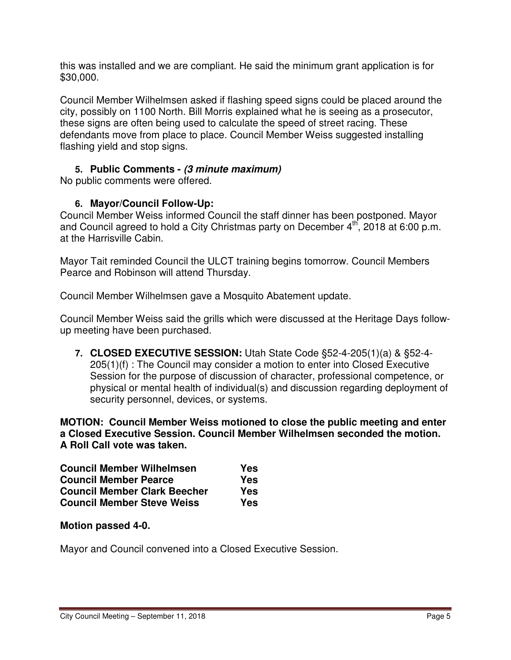this was installed and we are compliant. He said the minimum grant application is for \$30,000.

Council Member Wilhelmsen asked if flashing speed signs could be placed around the city, possibly on 1100 North. Bill Morris explained what he is seeing as a prosecutor, these signs are often being used to calculate the speed of street racing. These defendants move from place to place. Council Member Weiss suggested installing flashing yield and stop signs.

# **5. Public Comments - (3 minute maximum)**

No public comments were offered.

# **6. Mayor/Council Follow-Up:**

Council Member Weiss informed Council the staff dinner has been postponed. Mayor and Council agreed to hold a City Christmas party on December  $4<sup>th</sup>$ , 2018 at 6:00 p.m. at the Harrisville Cabin.

Mayor Tait reminded Council the ULCT training begins tomorrow. Council Members Pearce and Robinson will attend Thursday.

Council Member Wilhelmsen gave a Mosquito Abatement update.

Council Member Weiss said the grills which were discussed at the Heritage Days followup meeting have been purchased.

**7. CLOSED EXECUTIVE SESSION:** Utah State Code §52-4-205(1)(a) & §52-4- 205(1)(f) : The Council may consider a motion to enter into Closed Executive Session for the purpose of discussion of character, professional competence, or physical or mental health of individual(s) and discussion regarding deployment of security personnel, devices, or systems.

**MOTION: Council Member Weiss motioned to close the public meeting and enter a Closed Executive Session. Council Member Wilhelmsen seconded the motion. A Roll Call vote was taken.** 

| <b>Council Member Wilhelmsen</b>    | Yes |
|-------------------------------------|-----|
| <b>Council Member Pearce</b>        | Yes |
| <b>Council Member Clark Beecher</b> | Yes |
| <b>Council Member Steve Weiss</b>   | Yes |

**Motion passed 4-0.** 

Mayor and Council convened into a Closed Executive Session.